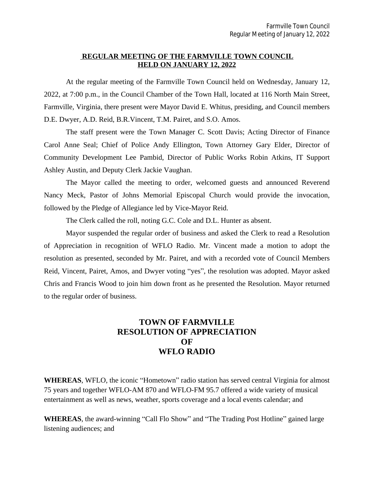#### **REGULAR MEETING OF THE FARMVILLE TOWN COUNCIL HELD ON JANUARY 12, 2022**

At the regular meeting of the Farmville Town Council held on Wednesday, January 12, 2022, at 7:00 p.m., in the Council Chamber of the Town Hall, located at 116 North Main Street, Farmville, Virginia, there present were Mayor David E. Whitus, presiding, and Council members D.E. Dwyer, A.D. Reid, B.R.Vincent, T.M. Pairet, and S.O. Amos.

The staff present were the Town Manager C. Scott Davis; Acting Director of Finance Carol Anne Seal; Chief of Police Andy Ellington, Town Attorney Gary Elder, Director of Community Development Lee Pambid, Director of Public Works Robin Atkins, IT Support Ashley Austin, and Deputy Clerk Jackie Vaughan.

The Mayor called the meeting to order, welcomed guests and announced Reverend Nancy Meck, Pastor of Johns Memorial Episcopal Church would provide the invocation, followed by the Pledge of Allegiance led by Vice-Mayor Reid.

The Clerk called the roll, noting G.C. Cole and D.L. Hunter as absent.

Mayor suspended the regular order of business and asked the Clerk to read a Resolution of Appreciation in recognition of WFLO Radio. Mr. Vincent made a motion to adopt the resolution as presented, seconded by Mr. Pairet, and with a recorded vote of Council Members Reid, Vincent, Pairet, Amos, and Dwyer voting "yes", the resolution was adopted. Mayor asked Chris and Francis Wood to join him down front as he presented the Resolution. Mayor returned to the regular order of business.

## **TOWN OF FARMVILLE RESOLUTION OF APPRECIATION OF WFLO RADIO**

**WHEREAS**, WFLO, the iconic "Hometown" radio station has served central Virginia for almost 75 years and together WFLO-AM 870 and WFLO-FM 95.7 offered a wide variety of musical entertainment as well as news, weather, sports coverage and a local events calendar; and

**WHEREAS**, the award-winning "Call Flo Show" and "The Trading Post Hotline" gained large listening audiences; and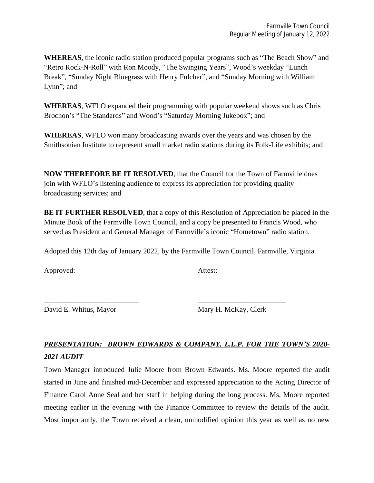**WHEREAS**, the iconic radio station produced popular programs such as "The Beach Show" and "Retro Rock-N-Roll" with Ron Moody, "The Swinging Years", Wood's weekday "Lunch Break", "Sunday Night Bluegrass with Henry Fulcher", and "Sunday Morning with William Lynn"; and

**WHEREAS**, WFLO expanded their programming with popular weekend shows such as Chris Brochon's "The Standards" and Wood's "Saturday Morning Jukebox"; and

**WHEREAS**, WFLO won many broadcasting awards over the years and was chosen by the Smithsonian Institute to represent small market radio stations during its Folk-Life exhibits; and

**NOW THEREFORE BE IT RESOLVED**, that the Council for the Town of Farmville does join with WFLO's listening audience to express its appreciation for providing quality broadcasting services; and

**BE IT FURTHER RESOLVED**, that a copy of this Resolution of Appreciation be placed in the Minute Book of the Farmville Town Council, and a copy be presented to Francis Wood, who served as President and General Manager of Farmville's iconic "Hometown" radio station.

Adopted this 12th day of January 2022, by the Farmville Town Council, Farmville, Virginia.

\_\_\_\_\_\_\_\_\_\_\_\_\_\_\_\_\_\_\_\_\_\_\_\_\_\_ \_\_\_\_\_\_\_\_\_\_\_\_\_\_\_\_\_\_\_\_\_\_\_\_

Approved: Attest:

David E. Whitus, Mayor Mary H. McKay, Clerk

# *PRESENTATION: BROWN EDWARDS & COMPANY, L.L.P. FOR THE TOWN'S 2020- 2021 AUDIT*

Town Manager introduced Julie Moore from Brown Edwards. Ms. Moore reported the audit started in June and finished mid-December and expressed appreciation to the Acting Director of Finance Carol Anne Seal and her staff in helping during the long process. Ms. Moore reported meeting earlier in the evening with the Finance Committee to review the details of the audit. Most importantly, the Town received a clean, unmodified opinion this year as well as no new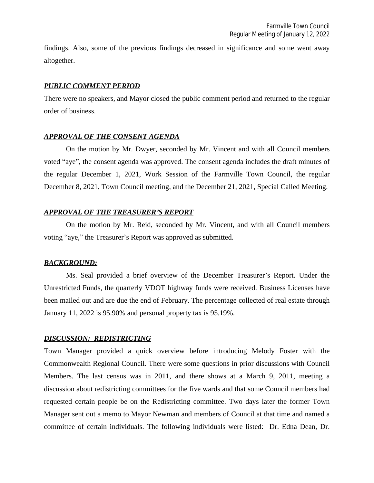findings. Also, some of the previous findings decreased in significance and some went away altogether.

#### *PUBLIC COMMENT PERIOD*

There were no speakers, and Mayor closed the public comment period and returned to the regular order of business.

### *APPROVAL OF THE CONSENT AGENDA*

On the motion by Mr. Dwyer, seconded by Mr. Vincent and with all Council members voted "aye", the consent agenda was approved. The consent agenda includes the draft minutes of the regular December 1, 2021, Work Session of the Farmville Town Council, the regular December 8, 2021, Town Council meeting, and the December 21, 2021, Special Called Meeting.

### *APPROVAL OF THE TREASURER'S REPORT*

On the motion by Mr. Reid, seconded by Mr. Vincent, and with all Council members voting "aye," the Treasurer's Report was approved as submitted.

#### *BACKGROUND:*

Ms. Seal provided a brief overview of the December Treasurer's Report. Under the Unrestricted Funds, the quarterly VDOT highway funds were received. Business Licenses have been mailed out and are due the end of February. The percentage collected of real estate through January 11, 2022 is 95.90% and personal property tax is 95.19%.

### *DISCUSSION: REDISTRICTING*

Town Manager provided a quick overview before introducing Melody Foster with the Commonwealth Regional Council. There were some questions in prior discussions with Council Members. The last census was in 2011, and there shows at a March 9, 2011, meeting a discussion about redistricting committees for the five wards and that some Council members had requested certain people be on the Redistricting committee. Two days later the former Town Manager sent out a memo to Mayor Newman and members of Council at that time and named a committee of certain individuals. The following individuals were listed: Dr. Edna Dean, Dr.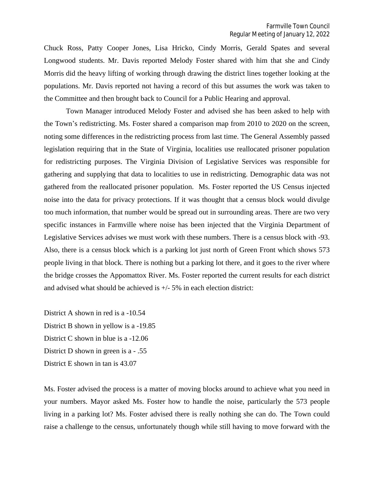Chuck Ross, Patty Cooper Jones, Lisa Hricko, Cindy Morris, Gerald Spates and several Longwood students. Mr. Davis reported Melody Foster shared with him that she and Cindy Morris did the heavy lifting of working through drawing the district lines together looking at the populations. Mr. Davis reported not having a record of this but assumes the work was taken to the Committee and then brought back to Council for a Public Hearing and approval.

Town Manager introduced Melody Foster and advised she has been asked to help with the Town's redistricting. Ms. Foster shared a comparison map from 2010 to 2020 on the screen, noting some differences in the redistricting process from last time. The General Assembly passed legislation requiring that in the State of Virginia, localities use reallocated prisoner population for redistricting purposes. The Virginia Division of Legislative Services was responsible for gathering and supplying that data to localities to use in redistricting. Demographic data was not gathered from the reallocated prisoner population. Ms. Foster reported the US Census injected noise into the data for privacy protections. If it was thought that a census block would divulge too much information, that number would be spread out in surrounding areas. There are two very specific instances in Farmville where noise has been injected that the Virginia Department of Legislative Services advises we must work with these numbers. There is a census block with -93. Also, there is a census block which is a parking lot just north of Green Front which shows 573 people living in that block. There is nothing but a parking lot there, and it goes to the river where the bridge crosses the Appomattox River. Ms. Foster reported the current results for each district and advised what should be achieved is  $+/-5\%$  in each election district:

District A shown in red is a -10.54 District B shown in yellow is a -19.85 District C shown in blue is a -12.06 District D shown in green is a - .55 District E shown in tan is 43.07

Ms. Foster advised the process is a matter of moving blocks around to achieve what you need in your numbers. Mayor asked Ms. Foster how to handle the noise, particularly the 573 people living in a parking lot? Ms. Foster advised there is really nothing she can do. The Town could raise a challenge to the census, unfortunately though while still having to move forward with the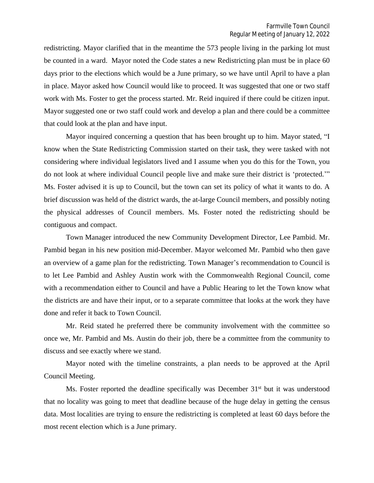redistricting. Mayor clarified that in the meantime the 573 people living in the parking lot must be counted in a ward. Mayor noted the Code states a new Redistricting plan must be in place 60 days prior to the elections which would be a June primary, so we have until April to have a plan in place. Mayor asked how Council would like to proceed. It was suggested that one or two staff work with Ms. Foster to get the process started. Mr. Reid inquired if there could be citizen input. Mayor suggested one or two staff could work and develop a plan and there could be a committee that could look at the plan and have input.

Mayor inquired concerning a question that has been brought up to him. Mayor stated, "I know when the State Redistricting Commission started on their task, they were tasked with not considering where individual legislators lived and I assume when you do this for the Town, you do not look at where individual Council people live and make sure their district is 'protected.'" Ms. Foster advised it is up to Council, but the town can set its policy of what it wants to do. A brief discussion was held of the district wards, the at-large Council members, and possibly noting the physical addresses of Council members. Ms. Foster noted the redistricting should be contiguous and compact.

Town Manager introduced the new Community Development Director, Lee Pambid. Mr. Pambid began in his new position mid-December. Mayor welcomed Mr. Pambid who then gave an overview of a game plan for the redistricting. Town Manager's recommendation to Council is to let Lee Pambid and Ashley Austin work with the Commonwealth Regional Council, come with a recommendation either to Council and have a Public Hearing to let the Town know what the districts are and have their input, or to a separate committee that looks at the work they have done and refer it back to Town Council.

Mr. Reid stated he preferred there be community involvement with the committee so once we, Mr. Pambid and Ms. Austin do their job, there be a committee from the community to discuss and see exactly where we stand.

Mayor noted with the timeline constraints, a plan needs to be approved at the April Council Meeting.

Ms. Foster reported the deadline specifically was December 31<sup>st</sup> but it was understood that no locality was going to meet that deadline because of the huge delay in getting the census data. Most localities are trying to ensure the redistricting is completed at least 60 days before the most recent election which is a June primary.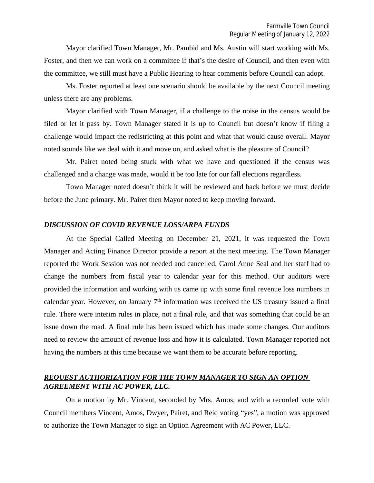Mayor clarified Town Manager, Mr. Pambid and Ms. Austin will start working with Ms. Foster, and then we can work on a committee if that's the desire of Council, and then even with the committee, we still must have a Public Hearing to hear comments before Council can adopt.

Ms. Foster reported at least one scenario should be available by the next Council meeting unless there are any problems.

Mayor clarified with Town Manager, if a challenge to the noise in the census would be filed or let it pass by. Town Manager stated it is up to Council but doesn't know if filing a challenge would impact the redistricting at this point and what that would cause overall. Mayor noted sounds like we deal with it and move on, and asked what is the pleasure of Council?

Mr. Pairet noted being stuck with what we have and questioned if the census was challenged and a change was made, would it be too late for our fall elections regardless.

Town Manager noted doesn't think it will be reviewed and back before we must decide before the June primary. Mr. Pairet then Mayor noted to keep moving forward.

#### *DISCUSSION OF COVID REVENUE LOSS/ARPA FUNDS*

At the Special Called Meeting on December 21, 2021, it was requested the Town Manager and Acting Finance Director provide a report at the next meeting. The Town Manager reported the Work Session was not needed and cancelled. Carol Anne Seal and her staff had to change the numbers from fiscal year to calendar year for this method. Our auditors were provided the information and working with us came up with some final revenue loss numbers in calendar year. However, on January  $7<sup>th</sup>$  information was received the US treasury issued a final rule. There were interim rules in place, not a final rule, and that was something that could be an issue down the road. A final rule has been issued which has made some changes. Our auditors need to review the amount of revenue loss and how it is calculated. Town Manager reported not having the numbers at this time because we want them to be accurate before reporting.

## *REQUEST AUTHORIZATION FOR THE TOWN MANAGER TO SIGN AN OPTION AGREEMENT WITH AC POWER, LLC.*

On a motion by Mr. Vincent, seconded by Mrs. Amos, and with a recorded vote with Council members Vincent, Amos, Dwyer, Pairet, and Reid voting "yes", a motion was approved to authorize the Town Manager to sign an Option Agreement with AC Power, LLC.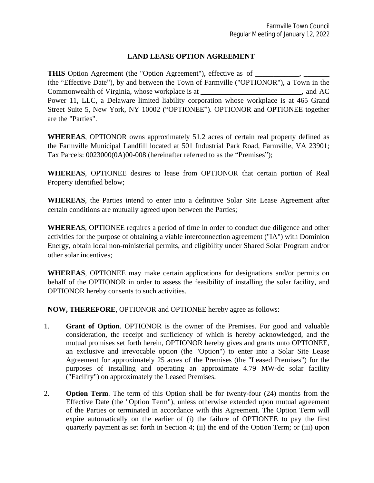## **LAND LEASE OPTION AGREEMENT**

**THIS** Option Agreement (the "Option Agreement"), effective as of \_\_\_\_\_\_\_\_\_\_\_\_\_\_ (the "Effective Date"), by and between the Town of Farmville ("OPTIONOR"), a Town in the Commonwealth of Virginia, whose workplace is at  $\blacksquare$ , and AC Power 11, LLC, a Delaware limited liability corporation whose workplace is at 465 Grand Street Suite 5, New York, NY 10002 ("OPTIONEE"). OPTIONOR and OPTIONEE together are the "Parties".

**WHEREAS**, OPTIONOR owns approximately 51.2 acres of certain real property defined as the Farmville Municipal Landfill located at 501 Industrial Park Road, Farmville, VA 23901; Tax Parcels: 0023000(0A)00-008 (hereinafter referred to as the "Premises");

**WHEREAS**, OPTIONEE desires to lease from OPTIONOR that certain portion of Real Property identified below;

**WHEREAS**, the Parties intend to enter into a definitive Solar Site Lease Agreement after certain conditions are mutually agreed upon between the Parties;

**WHEREAS**, OPTIONEE requires a period of time in order to conduct due diligence and other activities for the purpose of obtaining a viable interconnection agreement ("IA") with Dominion Energy, obtain local non-ministerial permits, and eligibility under Shared Solar Program and/or other solar incentives;

**WHEREAS**, OPTIONEE may make certain applications for designations and/or permits on behalf of the OPTIONOR in order to assess the feasibility of installing the solar facility, and OPTIONOR hereby consents to such activities.

**NOW, THEREFORE**, OPTIONOR and OPTIONEE hereby agree as follows:

- 1. **Grant of Option**. OPTIONOR is the owner of the Premises. For good and valuable consideration, the receipt and sufficiency of which is hereby acknowledged, and the mutual promises set forth herein, OPTIONOR hereby gives and grants unto OPTIONEE, an exclusive and irrevocable option (the "Option") to enter into a Solar Site Lease Agreement for approximately 25 acres of the Premises (the "Leased Premises") for the purposes of installing and operating an approximate 4.79 MW-dc solar facility ("Facility") on approximately the Leased Premises.
- 2. **Option Term**. The term of this Option shall be for twenty-four (24) months from the Effective Date (the "Option Term"), unless otherwise extended upon mutual agreement of the Parties or terminated in accordance with this Agreement. The Option Term will expire automatically on the earlier of (i) the failure of OPTIONEE to pay the first quarterly payment as set forth in Section 4; (ii) the end of the Option Term; or (iii) upon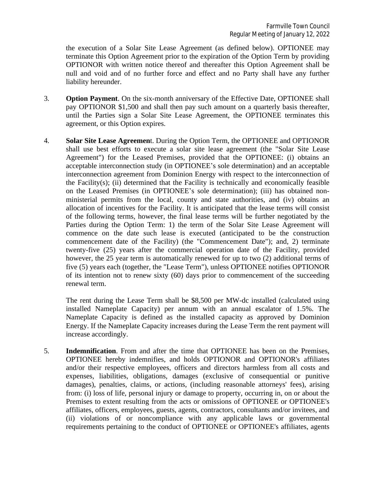the execution of a Solar Site Lease Agreement (as defined below). OPTIONEE may terminate this Option Agreement prior to the expiration of the Option Term by providing OPTIONOR with written notice thereof and thereafter this Option Agreement shall be null and void and of no further force and effect and no Party shall have any further liability hereunder.

- 3. **Option Payment**. On the six-month anniversary of the Effective Date, OPTIONEE shall pay OPTIONOR \$1,500 and shall then pay such amount on a quarterly basis thereafter, until the Parties sign a Solar Site Lease Agreement, the OPTIONEE terminates this agreement, or this Option expires.
- 4. **Solar Site Lease Agreemen**t. During the Option Term, the OPTIONEE and OPTIONOR shall use best efforts to execute a solar site lease agreement (the "Solar Site Lease Agreement") for the Leased Premises, provided that the OPTIONEE: (i) obtains an acceptable interconnection study (in OPTIONEE's sole determination) and an acceptable interconnection agreement from Dominion Energy with respect to the interconnection of the Facility(s); (ii) determined that the Facility is technically and economically feasible on the Leased Premises (in OPTIONEE's sole determination); (iii) has obtained nonministerial permits from the local, county and state authorities, and (iv) obtains an allocation of incentives for the Facility. It is anticipated that the lease terms will consist of the following terms, however, the final lease terms will be further negotiated by the Parties during the Option Term: 1) the term of the Solar Site Lease Agreement will commence on the date such lease is executed (anticipated to be the construction commencement date of the Facility) (the "Commencement Date"); and, 2) terminate twenty-five (25) years after the commercial operation date of the Facility, provided however, the 25 year term is automatically renewed for up to two (2) additional terms of five (5) years each (together, the "Lease Term"), unless OPTIONEE notifies OPTIONOR of its intention not to renew sixty (60) days prior to commencement of the succeeding renewal term.

The rent during the Lease Term shall be \$8,500 per MW-dc installed (calculated using installed Nameplate Capacity) per annum with an annual escalator of 1.5%. The Nameplate Capacity is defined as the installed capacity as approved by Dominion Energy. If the Nameplate Capacity increases during the Lease Term the rent payment will increase accordingly.

5. **Indemnification**. From and after the time that OPTIONEE has been on the Premises, OPTIONEE hereby indemnifies, and holds OPTIONOR and OPTIONOR's affiliates and/or their respective employees, officers and directors harmless from all costs and expenses, liabilities, obligations, damages (exclusive of consequential or punitive damages), penalties, claims, or actions, (including reasonable attorneys' fees), arising from: (i) loss of life, personal injury or damage to property, occurring in, on or about the Premises to extent resulting from the acts or omissions of OPTIONEE or OPTIONEE's affiliates, officers, employees, guests, agents, contractors, consultants and/or invitees, and (ii) violations of or noncompliance with any applicable laws or governmental requirements pertaining to the conduct of OPTIONEE or OPTIONEE's affiliates, agents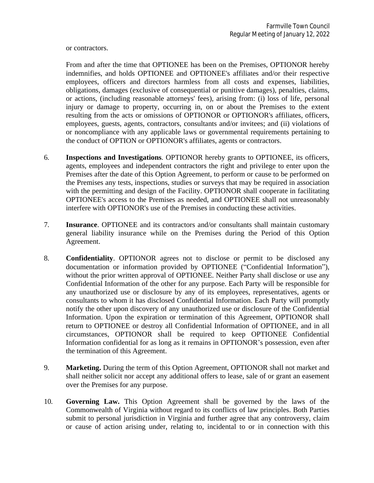or contractors.

From and after the time that OPTIONEE has been on the Premises, OPTIONOR hereby indemnifies, and holds OPTIONEE and OPTIONEE's affiliates and/or their respective employees, officers and directors harmless from all costs and expenses, liabilities, obligations, damages (exclusive of consequential or punitive damages), penalties, claims, or actions, (including reasonable attorneys' fees), arising from: (i) loss of life, personal injury or damage to property, occurring in, on or about the Premises to the extent resulting from the acts or omissions of OPTIONOR or OPTIONOR's affiliates, officers, employees, guests, agents, contractors, consultants and/or invitees; and (ii) violations of or noncompliance with any applicable laws or governmental requirements pertaining to the conduct of OPTION or OPTIONOR's affiliates, agents or contractors.

- 6. **Inspections and Investigations**. OPTIONOR hereby grants to OPTIONEE, its officers, agents, employees and independent contractors the right and privilege to enter upon the Premises after the date of this Option Agreement, to perform or cause to be performed on the Premises any tests, inspections, studies or surveys that may be required in association with the permitting and design of the Facility. OPTIONOR shall cooperate in facilitating OPTIONEE's access to the Premises as needed, and OPTIONEE shall not unreasonably interfere with OPTIONOR's use of the Premises in conducting these activities.
- 7. **Insurance**. OPTIONEE and its contractors and/or consultants shall maintain customary general liability insurance while on the Premises during the Period of this Option Agreement.
- 8. **Confidentiality**. OPTIONOR agrees not to disclose or permit to be disclosed any documentation or information provided by OPTIONEE ("Confidential Information"), without the prior written approval of OPTIONEE. Neither Party shall disclose or use any Confidential Information of the other for any purpose. Each Party will be responsible for any unauthorized use or disclosure by any of its employees, representatives, agents or consultants to whom it has disclosed Confidential Information. Each Party will promptly notify the other upon discovery of any unauthorized use or disclosure of the Confidential Information. Upon the expiration or termination of this Agreement, OPTIONOR shall return to OPTIONEE or destroy all Confidential Information of OPTIONEE, and in all circumstances, OPTIONOR shall be required to keep OPTIONEE Confidential Information confidential for as long as it remains in OPTIONOR's possession, even after the termination of this Agreement.
- 9. **Marketing.** During the term of this Option Agreement, OPTIONOR shall not market and shall neither solicit nor accept any additional offers to lease, sale of or grant an easement over the Premises for any purpose.
- 10. **Governing Law.** This Option Agreement shall be governed by the laws of the Commonwealth of Virginia without regard to its conflicts of law principles. Both Parties submit to personal jurisdiction in Virginia and further agree that any controversy, claim or cause of action arising under, relating to, incidental to or in connection with this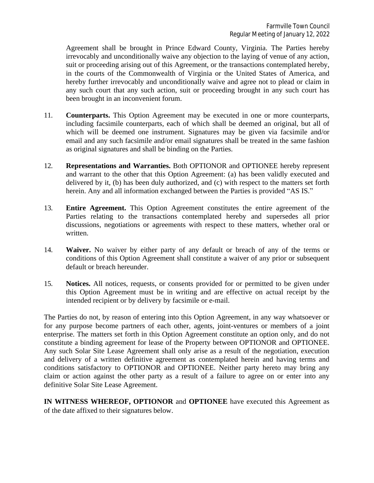Agreement shall be brought in Prince Edward County, Virginia. The Parties hereby irrevocably and unconditionally waive any objection to the laying of venue of any action, suit or proceeding arising out of this Agreement, or the transactions contemplated hereby, in the courts of the Commonwealth of Virginia or the United States of America, and hereby further irrevocably and unconditionally waive and agree not to plead or claim in any such court that any such action, suit or proceeding brought in any such court has been brought in an inconvenient forum.

- 11. **Counterparts.** This Option Agreement may be executed in one or more counterparts, including facsimile counterparts, each of which shall be deemed an original, but all of which will be deemed one instrument. Signatures may be given via facsimile and/or email and any such facsimile and/or email signatures shall be treated in the same fashion as original signatures and shall be binding on the Parties.
- 12. **Representations and Warranties.** Both OPTIONOR and OPTIONEE hereby represent and warrant to the other that this Option Agreement: (a) has been validly executed and delivered by it, (b) has been duly authorized, and (c) with respect to the matters set forth herein. Any and all information exchanged between the Parties is provided "AS IS."
- 13. **Entire Agreement.** This Option Agreement constitutes the entire agreement of the Parties relating to the transactions contemplated hereby and supersedes all prior discussions, negotiations or agreements with respect to these matters, whether oral or written.
- 14. **Waiver.** No waiver by either party of any default or breach of any of the terms or conditions of this Option Agreement shall constitute a waiver of any prior or subsequent default or breach hereunder.
- 15. **Notices.** All notices, requests, or consents provided for or permitted to be given under this Option Agreement must be in writing and are effective on actual receipt by the intended recipient or by delivery by facsimile or e-mail.

The Parties do not, by reason of entering into this Option Agreement, in any way whatsoever or for any purpose become partners of each other, agents, joint-ventures or members of a joint enterprise. The matters set forth in this Option Agreement constitute an option only, and do not constitute a binding agreement for lease of the Property between OPTIONOR and OPTIONEE. Any such Solar Site Lease Agreement shall only arise as a result of the negotiation, execution and delivery of a written definitive agreement as contemplated herein and having terms and conditions satisfactory to OPTIONOR and OPTIONEE. Neither party hereto may bring any claim or action against the other party as a result of a failure to agree on or enter into any definitive Solar Site Lease Agreement.

**IN WITNESS WHEREOF, OPTIONOR** and **OPTIONEE** have executed this Agreement as of the date affixed to their signatures below.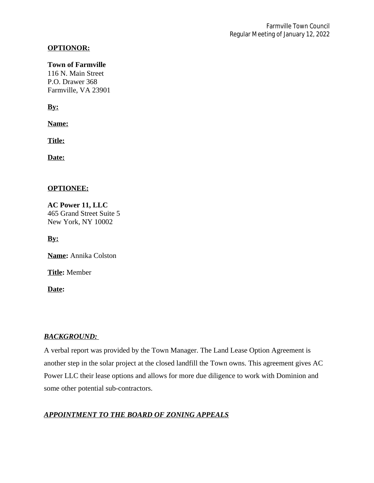## **OPTIONOR:**

#### **Town of Farmville**

116 N. Main Street P.O. Drawer 368 Farmville, VA 23901

**By:**

**Name:**

**Title:**

**Date:**

## **OPTIONEE:**

**AC Power 11, LLC** 465 Grand Street Suite 5 New York, NY 10002

**By:**

**Name:** Annika Colston

**Title:** Member

**Date:**

### *BACKGROUND:*

A verbal report was provided by the Town Manager. The Land Lease Option Agreement is another step in the solar project at the closed landfill the Town owns. This agreement gives AC Power LLC their lease options and allows for more due diligence to work with Dominion and some other potential sub-contractors.

## *APPOINTMENT TO THE BOARD OF ZONING APPEALS*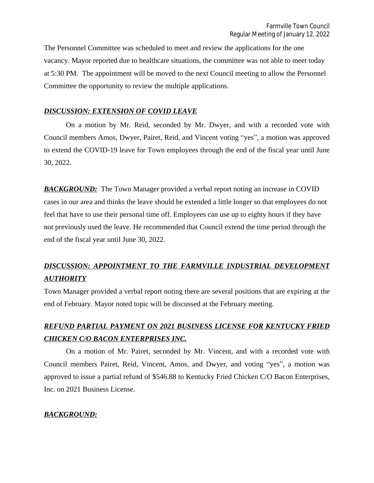The Personnel Committee was scheduled to meet and review the applications for the one vacancy. Mayor reported due to healthcare situations, the committee was not able to meet today at 5:30 PM. The appointment will be moved to the next Council meeting to allow the Personnel Committee the opportunity to review the multiple applications.

## *DISCUSSION: EXTENSION OF COVID LEAVE*

On a motion by Mr. Reid, seconded by Mr. Dwyer, and with a recorded vote with Council members Amos, Dwyer, Pairet, Reid, and Vincent voting "yes", a motion was approved to extend the COVID-19 leave for Town employees through the end of the fiscal year until June 30, 2022.

**BACKGROUND:** The Town Manager provided a verbal report noting an increase in COVID cases in our area and thinks the leave should be extended a little longer so that employees do not feel that have to use their personal time off. Employees can use up to eighty hours if they have not previously used the leave. He recommended that Council extend the time period through the end of the fiscal year until June 30, 2022.

# *DISCUSSION: APPOINTMENT TO THE FARMVILLE INDUSTRIAL DEVELOPMENT AUTHORITY*

Town Manager provided a verbal report noting there are several positions that are expiring at the end of February. Mayor noted topic will be discussed at the February meeting.

# *REFUND PARTIAL PAYMENT ON 2021 BUSINESS LICENSE FOR KENTUCKY FRIED CHICKEN C/O BACON ENTERPRISES INC.*

On a motion of Mr. Pairet, seconded by Mr. Vincent, and with a recorded vote with Council members Pairet, Reid, Vincent, Amos, and Dwyer, and voting "yes", a motion was approved to issue a partial refund of \$546.88 to Kentucky Fried Chicken C/O Bacon Enterprises, Inc. on 2021 Business License.

## *BACKGROUND:*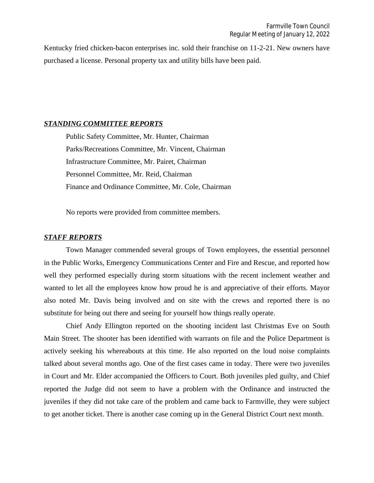Kentucky fried chicken-bacon enterprises inc. sold their franchise on 11-2-21. New owners have purchased a license. Personal property tax and utility bills have been paid.

#### *STANDING COMMITTEE REPORTS*

Public Safety Committee, Mr. Hunter, Chairman Parks/Recreations Committee, Mr. Vincent, Chairman Infrastructure Committee, Mr. Pairet, Chairman Personnel Committee, Mr. Reid, Chairman Finance and Ordinance Committee, Mr. Cole, Chairman

No reports were provided from committee members.

#### *STAFF REPORTS*

Town Manager commended several groups of Town employees, the essential personnel in the Public Works, Emergency Communications Center and Fire and Rescue, and reported how well they performed especially during storm situations with the recent inclement weather and wanted to let all the employees know how proud he is and appreciative of their efforts. Mayor also noted Mr. Davis being involved and on site with the crews and reported there is no substitute for being out there and seeing for yourself how things really operate.

Chief Andy Ellington reported on the shooting incident last Christmas Eve on South Main Street. The shooter has been identified with warrants on file and the Police Department is actively seeking his whereabouts at this time. He also reported on the loud noise complaints talked about several months ago. One of the first cases came in today. There were two juveniles in Court and Mr. Elder accompanied the Officers to Court. Both juveniles pled guilty, and Chief reported the Judge did not seem to have a problem with the Ordinance and instructed the juveniles if they did not take care of the problem and came back to Farmville, they were subject to get another ticket. There is another case coming up in the General District Court next month.